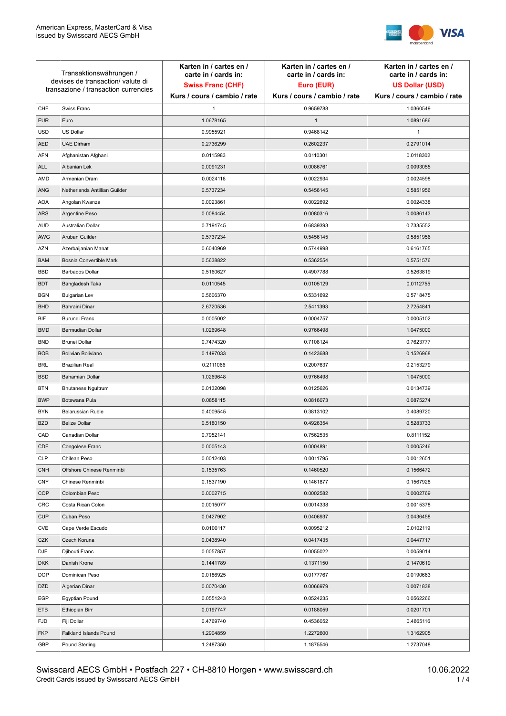

| Transaktionswährungen /<br>devises de transaction/valute di<br>transazione / transaction currencies |                               | Karten in / cartes en /<br>carte in / cards in:<br><b>Swiss Franc (CHF)</b> | Karten in / cartes en /<br>carte in / cards in:<br>Euro (EUR) | Karten in / cartes en /<br>carte in / cards in:<br><b>US Dollar (USD)</b> |
|-----------------------------------------------------------------------------------------------------|-------------------------------|-----------------------------------------------------------------------------|---------------------------------------------------------------|---------------------------------------------------------------------------|
|                                                                                                     |                               | Kurs / cours / cambio / rate                                                | Kurs / cours / cambio / rate                                  | Kurs / cours / cambio / rate                                              |
| CHF                                                                                                 | Swiss Franc                   | 1                                                                           | 0.9659788                                                     | 1.0360549                                                                 |
| <b>EUR</b>                                                                                          | Euro                          | 1.0678165                                                                   | $\mathbf{1}$                                                  | 1.0891686                                                                 |
| <b>USD</b>                                                                                          | US Dollar                     | 0.9955921                                                                   | 0.9468142                                                     | $\mathbf{1}$                                                              |
| <b>AED</b>                                                                                          | <b>UAE Dirham</b>             | 0.2736299                                                                   | 0.2602237                                                     | 0.2791014                                                                 |
| <b>AFN</b>                                                                                          | Afghanistan Afghani           | 0.0115983                                                                   | 0.0110301                                                     | 0.0118302                                                                 |
| ALL                                                                                                 | Albanian Lek                  | 0.0091231                                                                   | 0.0086761                                                     | 0.0093055                                                                 |
| AMD                                                                                                 | Armenian Dram                 | 0.0024116                                                                   | 0.0022934                                                     | 0.0024598                                                                 |
| ANG                                                                                                 | Netherlands Antillian Guilder | 0.5737234                                                                   | 0.5456145                                                     | 0.5851956                                                                 |
| <b>AOA</b>                                                                                          | Angolan Kwanza                | 0.0023861                                                                   | 0.0022692                                                     | 0.0024338                                                                 |
| ARS                                                                                                 | Argentine Peso                | 0.0084454                                                                   | 0.0080316                                                     | 0.0086143                                                                 |
| <b>AUD</b>                                                                                          | Australian Dollar             | 0.7191745                                                                   | 0.6839393                                                     | 0.7335552                                                                 |
| AWG                                                                                                 | Aruban Guilder                | 0.5737234                                                                   | 0.5456145                                                     | 0.5851956                                                                 |
| AZN                                                                                                 | Azerbaijanian Manat           | 0.6040969                                                                   | 0.5744998                                                     | 0.6161765                                                                 |
| <b>BAM</b>                                                                                          | Bosnia Convertible Mark       | 0.5638822                                                                   | 0.5362554                                                     | 0.5751576                                                                 |
| <b>BBD</b>                                                                                          | <b>Barbados Dollar</b>        | 0.5160627                                                                   | 0.4907788                                                     | 0.5263819                                                                 |
| <b>BDT</b>                                                                                          | Bangladesh Taka               | 0.0110545                                                                   | 0.0105129                                                     | 0.0112755                                                                 |
| <b>BGN</b>                                                                                          | <b>Bulgarian Lev</b>          | 0.5606370                                                                   | 0.5331692                                                     | 0.5718475                                                                 |
| <b>BHD</b>                                                                                          | Bahraini Dinar                | 2.6720536                                                                   | 2.5411393                                                     | 2.7254841                                                                 |
| BIF                                                                                                 | Burundi Franc                 | 0.0005002                                                                   | 0.0004757                                                     | 0.0005102                                                                 |
| <b>BMD</b>                                                                                          | Bermudian Dollar              | 1.0269648                                                                   | 0.9766498                                                     | 1.0475000                                                                 |
| <b>BND</b>                                                                                          | <b>Brunei Dollar</b>          | 0.7474320                                                                   | 0.7108124                                                     | 0.7623777                                                                 |
| <b>BOB</b>                                                                                          | Bolivian Boliviano            | 0.1497033                                                                   | 0.1423688                                                     | 0.1526968                                                                 |
| <b>BRL</b>                                                                                          | <b>Brazilian Real</b>         | 0.2111066                                                                   | 0.2007637                                                     | 0.2153279                                                                 |
| <b>BSD</b>                                                                                          | <b>Bahamian Dollar</b>        | 1.0269648                                                                   | 0.9766498                                                     | 1.0475000                                                                 |
| <b>BTN</b>                                                                                          | <b>Bhutanese Ngultrum</b>     | 0.0132098                                                                   | 0.0125626                                                     | 0.0134739                                                                 |
| <b>BWP</b>                                                                                          | Botswana Pula                 | 0.0858115                                                                   | 0.0816073                                                     | 0.0875274                                                                 |
| <b>BYN</b>                                                                                          | Belarussian Ruble             | 0.4009545                                                                   | 0.3813102                                                     | 0.4089720                                                                 |
| <b>BZD</b>                                                                                          | <b>Belize Dollar</b>          | 0.5180150                                                                   | 0.4926354                                                     | 0.5283733                                                                 |
| CAD                                                                                                 | Canadian Dollar               | 0.7952141                                                                   | 0.7562535                                                     | 0.8111152                                                                 |
| CDF                                                                                                 | Congolese Franc               | 0.0005143                                                                   | 0.0004891                                                     | 0.0005246                                                                 |
| <b>CLP</b>                                                                                          | Chilean Peso                  | 0.0012403                                                                   | 0.0011795                                                     | 0.0012651                                                                 |
| <b>CNH</b>                                                                                          | Offshore Chinese Renminbi     | 0.1535763                                                                   | 0.1460520                                                     | 0.1566472                                                                 |
| <b>CNY</b>                                                                                          | Chinese Renminbi              | 0.1537190                                                                   | 0.1461877                                                     | 0.1567928                                                                 |
| <b>COP</b>                                                                                          | Colombian Peso                | 0.0002715                                                                   | 0.0002582                                                     | 0.0002769                                                                 |
| CRC                                                                                                 | Costa Rican Colon             | 0.0015077                                                                   | 0.0014338                                                     | 0.0015378                                                                 |
| <b>CUP</b>                                                                                          | Cuban Peso                    | 0.0427902                                                                   | 0.0406937                                                     | 0.0436458                                                                 |
| CVE                                                                                                 | Cape Verde Escudo             | 0.0100117                                                                   | 0.0095212                                                     | 0.0102119                                                                 |
| CZK                                                                                                 | Czech Koruna                  | 0.0438940                                                                   | 0.0417435                                                     | 0.0447717                                                                 |
| DJF                                                                                                 | Djibouti Franc                | 0.0057857                                                                   | 0.0055022                                                     | 0.0059014                                                                 |
| <b>DKK</b>                                                                                          | Danish Krone                  | 0.1441789                                                                   | 0.1371150                                                     | 0.1470619                                                                 |
| <b>DOP</b>                                                                                          | Dominican Peso                | 0.0186925                                                                   | 0.0177767                                                     | 0.0190663                                                                 |
| <b>DZD</b>                                                                                          | Algerian Dinar                | 0.0070430                                                                   | 0.0066979                                                     | 0.0071838                                                                 |
| EGP                                                                                                 | Egyptian Pound                | 0.0551243                                                                   | 0.0524235                                                     | 0.0562266                                                                 |
| ETB                                                                                                 | Ethiopian Birr                | 0.0197747                                                                   | 0.0188059                                                     | 0.0201701                                                                 |
| <b>FJD</b>                                                                                          | Fiji Dollar                   | 0.4769740                                                                   | 0.4536052                                                     | 0.4865116                                                                 |
| <b>FKP</b>                                                                                          | Falkland Islands Pound        | 1.2904859                                                                   | 1.2272600                                                     | 1.3162905                                                                 |
| GBP                                                                                                 | Pound Sterling                | 1.2487350                                                                   | 1.1875546                                                     | 1.2737048                                                                 |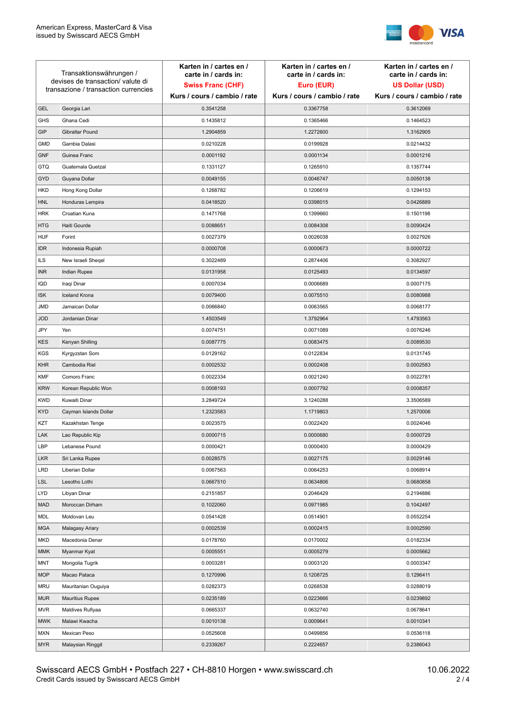

| Transaktionswährungen /<br>devises de transaction/valute di<br>transazione / transaction currencies |                        | Karten in / cartes en /<br>carte in / cards in: | Karten in / cartes en /<br>carte in / cards in: | Karten in / cartes en /<br>carte in / cards in: |
|-----------------------------------------------------------------------------------------------------|------------------------|-------------------------------------------------|-------------------------------------------------|-------------------------------------------------|
|                                                                                                     |                        | <b>Swiss Franc (CHF)</b>                        | Euro (EUR)                                      | <b>US Dollar (USD)</b>                          |
|                                                                                                     |                        | Kurs / cours / cambio / rate                    | Kurs / cours / cambio / rate                    | Kurs / cours / cambio / rate                    |
| <b>GEL</b>                                                                                          | Georgia Lari           | 0.3541258                                       | 0.3367758                                       | 0.3612069                                       |
| <b>GHS</b>                                                                                          | Ghana Cedi             | 0.1435812                                       | 0.1365466                                       | 0.1464523                                       |
| GIP                                                                                                 | Gibraltar Pound        | 1.2904859                                       | 1.2272600                                       | 1.3162905                                       |
| <b>GMD</b>                                                                                          | Gambia Dalasi          | 0.0210228                                       | 0.0199928                                       | 0.0214432                                       |
| <b>GNF</b>                                                                                          | Guinea Franc           | 0.0001192                                       | 0.0001134                                       | 0.0001216                                       |
| <b>GTQ</b>                                                                                          | Guatemala Quetzal      | 0.1331127                                       | 0.1265910                                       | 0.1357744                                       |
| GYD                                                                                                 | Guyana Dollar          | 0.0049155                                       | 0.0046747                                       | 0.0050138                                       |
| <b>HKD</b>                                                                                          | Hong Kong Dollar       | 0.1268782                                       | 0.1206619                                       | 0.1294153                                       |
| <b>HNL</b>                                                                                          | Honduras Lempira       | 0.0418520                                       | 0.0398015                                       | 0.0426889                                       |
| <b>HRK</b>                                                                                          | Croatian Kuna          | 0.1471768                                       | 0.1399660                                       | 0.1501198                                       |
| <b>HTG</b>                                                                                          | Haiti Gourde           | 0.0088651                                       | 0.0084308                                       | 0.0090424                                       |
| <b>HUF</b>                                                                                          | Forint                 | 0.0027379                                       | 0.0026038                                       | 0.0027926                                       |
| <b>IDR</b>                                                                                          | Indonesia Rupiah       | 0.0000708                                       | 0.0000673                                       | 0.0000722                                       |
| <b>ILS</b>                                                                                          | New Israeli Sheqel     | 0.3022489                                       | 0.2874406                                       | 0.3082927                                       |
| <b>INR</b>                                                                                          | Indian Rupee           | 0.0131958                                       | 0.0125493                                       | 0.0134597                                       |
| <b>IQD</b>                                                                                          | Iraqi Dinar            | 0.0007034                                       | 0.0006689                                       | 0.0007175                                       |
| <b>ISK</b>                                                                                          | <b>Iceland Krona</b>   | 0.0079400                                       | 0.0075510                                       | 0.0080988                                       |
| <b>JMD</b>                                                                                          | Jamaican Dollar        | 0.0066840                                       | 0.0063565                                       | 0.0068177                                       |
| <b>JOD</b>                                                                                          | Jordanian Dinar        | 1.4503549                                       | 1.3792964                                       | 1.4793563                                       |
| JPY                                                                                                 | Yen                    | 0.0074751                                       | 0.0071089                                       | 0.0076246                                       |
| <b>KES</b>                                                                                          | Kenyan Shilling        | 0.0087775                                       | 0.0083475                                       | 0.0089530                                       |
| <b>KGS</b>                                                                                          | Kyrgyzstan Som         | 0.0129162                                       | 0.0122834                                       | 0.0131745                                       |
| <b>KHR</b>                                                                                          | Cambodia Riel          | 0.0002532                                       | 0.0002408                                       | 0.0002583                                       |
| <b>KMF</b>                                                                                          | Comoro Franc           | 0.0022334                                       | 0.0021240                                       | 0.0022781                                       |
| <b>KRW</b>                                                                                          | Korean Republic Won    | 0.0008193                                       | 0.0007792                                       | 0.0008357                                       |
| <b>KWD</b>                                                                                          | Kuwaiti Dinar          | 3.2849724                                       | 3.1240288                                       | 3.3506589                                       |
| <b>KYD</b>                                                                                          | Cayman Islands Dollar  | 1.2323583                                       | 1.1719803                                       | 1.2570006                                       |
| KZT                                                                                                 | Kazakhstan Tenge       | 0.0023575                                       | 0.0022420                                       | 0.0024046                                       |
| LAK                                                                                                 | Lao Republic Kip       | 0.0000715                                       | 0.0000680                                       | 0.0000729                                       |
| LBP                                                                                                 | Lebanese Pound         | 0.0000421                                       | 0.0000400                                       | 0.0000429                                       |
| <b>LKR</b>                                                                                          | Sri Lanka Rupee        | 0.0028575                                       | 0.0027175                                       | 0.0029146                                       |
| <b>LRD</b>                                                                                          | Liberian Dollar        | 0.0067563                                       | 0.0064253                                       | 0.0068914                                       |
| <b>LSL</b>                                                                                          | Lesotho Lothi          | 0.0667510                                       | 0.0634806                                       | 0.0680858                                       |
| <b>LYD</b>                                                                                          | Libyan Dinar           | 0.2151857                                       | 0.2046429                                       | 0.2194886                                       |
| <b>MAD</b>                                                                                          | Moroccan Dirham        | 0.1022060                                       | 0.0971985                                       | 0.1042497                                       |
| MDL                                                                                                 | Moldovan Leu           | 0.0541428                                       | 0.0514901                                       | 0.0552254                                       |
| <b>MGA</b>                                                                                          | Malagasy Ariary        | 0.0002539                                       | 0.0002415                                       | 0.0002590                                       |
| <b>MKD</b>                                                                                          | Macedonia Denar        | 0.0178760                                       | 0.0170002                                       | 0.0182334                                       |
| <b>MMK</b>                                                                                          | Myanmar Kyat           | 0.0005551                                       | 0.0005279                                       | 0.0005662                                       |
| MNT                                                                                                 | Mongolia Tugrik        | 0.0003281                                       | 0.0003120                                       | 0.0003347                                       |
| <b>MOP</b>                                                                                          | Macao Pataca           | 0.1270996                                       | 0.1208725                                       | 0.1296411                                       |
| <b>MRU</b>                                                                                          | Mauritanian Ouguiya    | 0.0282373                                       | 0.0268538                                       | 0.0288019                                       |
| <b>MUR</b>                                                                                          | <b>Mauritius Rupee</b> | 0.0235189                                       | 0.0223666                                       | 0.0239892                                       |
| <b>MVR</b>                                                                                          | Maldives Rufiyaa       | 0.0665337                                       | 0.0632740                                       | 0.0678641                                       |
| <b>MWK</b>                                                                                          | Malawi Kwacha          | 0.0010138                                       | 0.0009641                                       | 0.0010341                                       |
| <b>MXN</b>                                                                                          | Mexican Peso           | 0.0525608                                       | 0.0499856                                       | 0.0536118                                       |
| <b>MYR</b>                                                                                          | Malaysian Ringgit      | 0.2339267                                       | 0.2224657                                       | 0.2386043                                       |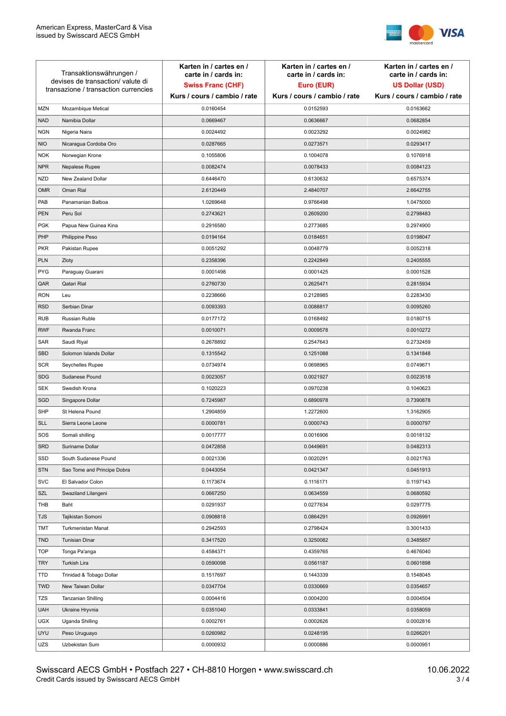

| Transaktionswährungen /<br>devises de transaction/valute di<br>transazione / transaction currencies |                             | Karten in / cartes en /<br>carte in / cards in:<br><b>Swiss Franc (CHF)</b><br>Kurs / cours / cambio / rate | Karten in / cartes en /<br>carte in / cards in:<br>Euro (EUR)<br>Kurs / cours / cambio / rate | Karten in / cartes en /<br>carte in / cards in:<br><b>US Dollar (USD)</b><br>Kurs / cours / cambio / rate |
|-----------------------------------------------------------------------------------------------------|-----------------------------|-------------------------------------------------------------------------------------------------------------|-----------------------------------------------------------------------------------------------|-----------------------------------------------------------------------------------------------------------|
|                                                                                                     |                             |                                                                                                             |                                                                                               |                                                                                                           |
| <b>MZN</b>                                                                                          | Mozambique Metical          | 0.0160454                                                                                                   | 0.0152593                                                                                     | 0.0163662                                                                                                 |
| <b>NAD</b>                                                                                          | Namibia Dollar              | 0.0669467                                                                                                   | 0.0636667                                                                                     | 0.0682854                                                                                                 |
| <b>NGN</b>                                                                                          | Nigeria Naira               | 0.0024492                                                                                                   | 0.0023292                                                                                     | 0.0024982                                                                                                 |
| <b>NIO</b>                                                                                          | Nicaragua Cordoba Oro       | 0.0287665                                                                                                   | 0.0273571                                                                                     | 0.0293417                                                                                                 |
| <b>NOK</b>                                                                                          | Norwegian Krone             | 0.1055806                                                                                                   | 0.1004078                                                                                     | 0.1076918                                                                                                 |
| <b>NPR</b>                                                                                          | Nepalese Rupee              | 0.0082474                                                                                                   | 0.0078433                                                                                     | 0.0084123                                                                                                 |
| <b>NZD</b>                                                                                          | New Zealand Dollar          | 0.6446470                                                                                                   | 0.6130632                                                                                     | 0.6575374                                                                                                 |
| <b>OMR</b>                                                                                          | Oman Rial                   | 2.6120449                                                                                                   | 2.4840707                                                                                     | 2.6642755                                                                                                 |
| PAB                                                                                                 | Panamanian Balboa           | 1.0269648                                                                                                   | 0.9766498                                                                                     | 1.0475000                                                                                                 |
| <b>PEN</b>                                                                                          | Peru Sol                    | 0.2743621                                                                                                   | 0.2609200                                                                                     | 0.2798483                                                                                                 |
| <b>PGK</b>                                                                                          | Papua New Guinea Kina       | 0.2916580                                                                                                   | 0.2773685                                                                                     | 0.2974900                                                                                                 |
| PHP                                                                                                 | Philippine Peso             | 0.0194164                                                                                                   | 0.0184651                                                                                     | 0.0198047                                                                                                 |
| <b>PKR</b>                                                                                          | Pakistan Rupee              | 0.0051292                                                                                                   | 0.0048779                                                                                     | 0.0052318                                                                                                 |
| <b>PLN</b>                                                                                          | Zloty                       | 0.2358396                                                                                                   | 0.2242849                                                                                     | 0.2405555                                                                                                 |
| <b>PYG</b>                                                                                          | Paraguay Guarani            | 0.0001498                                                                                                   | 0.0001425                                                                                     | 0.0001528                                                                                                 |
| QAR                                                                                                 | Qatari Rial                 | 0.2760730                                                                                                   | 0.2625471                                                                                     | 0.2815934                                                                                                 |
| <b>RON</b>                                                                                          | Leu                         | 0.2238666                                                                                                   | 0.2128985                                                                                     | 0.2283430                                                                                                 |
| <b>RSD</b>                                                                                          | Serbian Dinar               | 0.0093393                                                                                                   | 0.0088817                                                                                     | 0.0095260                                                                                                 |
| <b>RUB</b>                                                                                          | Russian Ruble               | 0.0177172                                                                                                   | 0.0168492                                                                                     | 0.0180715                                                                                                 |
| <b>RWF</b>                                                                                          | Rwanda Franc                | 0.0010071                                                                                                   | 0.0009578                                                                                     | 0.0010272                                                                                                 |
| SAR                                                                                                 | Saudi Riyal                 | 0.2678892                                                                                                   | 0.2547643                                                                                     | 0.2732459                                                                                                 |
| <b>SBD</b>                                                                                          | Solomon Islands Dollar      | 0.1315542                                                                                                   | 0.1251088                                                                                     | 0.1341848                                                                                                 |
| <b>SCR</b>                                                                                          | Seychelles Rupee            | 0.0734974                                                                                                   | 0.0698965                                                                                     | 0.0749671                                                                                                 |
| <b>SDG</b>                                                                                          | Sudanese Pound              | 0.0023057                                                                                                   | 0.0021927                                                                                     | 0.0023518                                                                                                 |
| <b>SEK</b>                                                                                          | Swedish Krona               | 0.1020223                                                                                                   | 0.0970238                                                                                     | 0.1040623                                                                                                 |
| SGD                                                                                                 | Singapore Dollar            | 0.7245987                                                                                                   | 0.6890978                                                                                     | 0.7390878                                                                                                 |
| <b>SHP</b>                                                                                          | St Helena Pound             | 1.2904859                                                                                                   | 1.2272600                                                                                     | 1.3162905                                                                                                 |
| <b>SLL</b>                                                                                          | Sierra Leone Leone          | 0.0000781                                                                                                   | 0.0000743                                                                                     | 0.0000797                                                                                                 |
| SOS                                                                                                 | Somali shilling             | 0.0017777                                                                                                   | 0.0016906                                                                                     | 0.0018132                                                                                                 |
| SRD                                                                                                 | Suriname Dollar             | 0.0472858                                                                                                   | 0.0449691                                                                                     | 0.0482313                                                                                                 |
| SSD                                                                                                 | South Sudanese Pound        | 0.0021336                                                                                                   | 0.0020291                                                                                     | 0.0021763                                                                                                 |
| <b>STN</b>                                                                                          | Sao Tome and Principe Dobra | 0.0443054                                                                                                   | 0.0421347                                                                                     | 0.0451913                                                                                                 |
| <b>SVC</b>                                                                                          | El Salvador Colon           | 0.1173674                                                                                                   | 0.1116171                                                                                     | 0.1197143                                                                                                 |
| SZL                                                                                                 | Swaziland Lilangeni         | 0.0667250                                                                                                   | 0.0634559                                                                                     | 0.0680592                                                                                                 |
| THB                                                                                                 | Baht                        | 0.0291937                                                                                                   | 0.0277634                                                                                     | 0.0297775                                                                                                 |
| TJS                                                                                                 | Tajikistan Somoni           | 0.0908818                                                                                                   | 0.0864291                                                                                     | 0.0926991                                                                                                 |
| <b>TMT</b>                                                                                          | Turkmenistan Manat          | 0.2942593                                                                                                   | 0.2798424                                                                                     | 0.3001433                                                                                                 |
| <b>TND</b>                                                                                          | <b>Tunisian Dinar</b>       | 0.3417520                                                                                                   | 0.3250082                                                                                     | 0.3485857                                                                                                 |
| <b>TOP</b>                                                                                          | Tonga Pa'anga               | 0.4584371                                                                                                   | 0.4359765                                                                                     | 0.4676040                                                                                                 |
| <b>TRY</b>                                                                                          | Turkish Lira                | 0.0590098                                                                                                   | 0.0561187                                                                                     | 0.0601898                                                                                                 |
| TTD                                                                                                 | Trinidad & Tobago Dollar    | 0.1517697                                                                                                   | 0.1443339                                                                                     | 0.1548045                                                                                                 |
| <b>TWD</b>                                                                                          | New Taiwan Dollar           | 0.0347704                                                                                                   | 0.0330669                                                                                     | 0.0354657                                                                                                 |
| <b>TZS</b>                                                                                          | Tanzanian Shilling          | 0.0004416                                                                                                   | 0.0004200                                                                                     | 0.0004504                                                                                                 |
| <b>UAH</b>                                                                                          | Ukraine Hryvnia             | 0.0351040                                                                                                   | 0.0333841                                                                                     | 0.0358059                                                                                                 |
| <b>UGX</b>                                                                                          | Uganda Shilling             | 0.0002761                                                                                                   | 0.0002626                                                                                     | 0.0002816                                                                                                 |
| <b>UYU</b>                                                                                          | Peso Uruguayo               | 0.0260982                                                                                                   | 0.0248195                                                                                     | 0.0266201                                                                                                 |
| UZS                                                                                                 | Uzbekistan Sum              | 0.0000932                                                                                                   | 0.0000886                                                                                     | 0.0000951                                                                                                 |